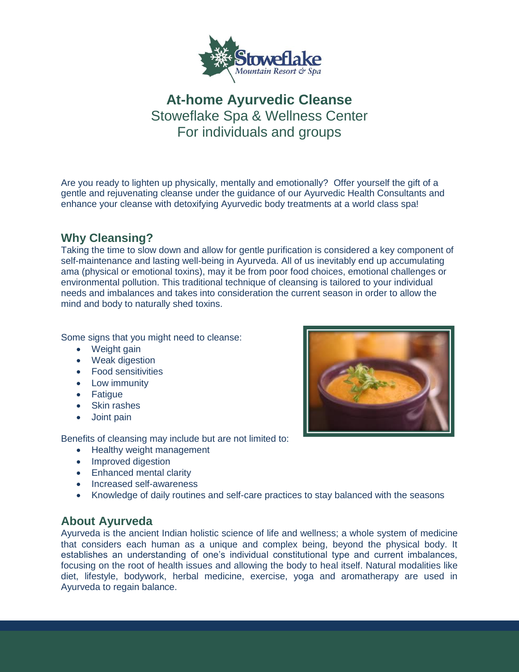

# **At-home Ayurvedic Cleanse** Stoweflake Spa & Wellness Center For individuals and groups

Are you ready to lighten up physically, mentally and emotionally? Offer yourself the gift of a gentle and rejuvenating cleanse under the guidance of our Ayurvedic Health Consultants and enhance your cleanse with detoxifying Ayurvedic body treatments at a world class spa!

## **Why Cleansing?**

Taking the time to slow down and allow for gentle purification is considered a key component of self-maintenance and lasting well-being in Ayurveda. All of us inevitably end up accumulating ama (physical or emotional toxins), may it be from poor food choices, emotional challenges or environmental pollution. This traditional technique of cleansing is tailored to your individual needs and imbalances and takes into consideration the current season in order to allow the mind and body to naturally shed toxins.

Some signs that you might need to cleanse:

- Weight gain
- Weak digestion
- Food sensitivities
- Low immunity
- Fatigue
- Skin rashes
- Joint pain

Benefits of cleansing may include but are not limited to:

- Healthy weight management
- Improved digestion
- Enhanced mental clarity
- Increased self-awareness
- Knowledge of daily routines and self-care practices to stay balanced with the seasons

#### **About Ayurveda**

Ayurveda is the ancient Indian holistic science of life and wellness; a whole system of medicine that considers each human as a unique and complex being, beyond the physical body. It establishes an understanding of one's individual constitutional type and current imbalances, focusing on the root of health issues and allowing the body to heal itself. Natural modalities like diet, lifestyle, bodywork, herbal medicine, exercise, yoga and aromatherapy are used in Ayurveda to regain balance.